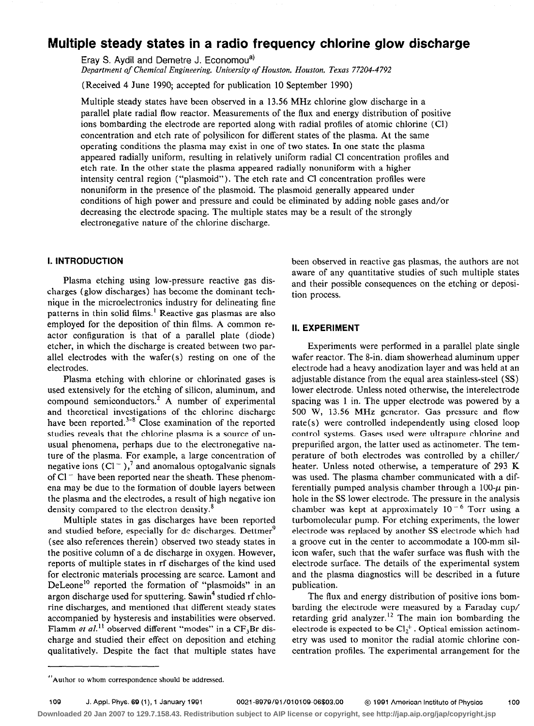# Multiple steady states in a radio frequency chlorine glow discharge

Eray S. Aydil and Demetre J. Economou<sup>a)</sup> Department of Chemical Engineering, University of Houston, Houston, Texas 77204-4792

(Received 4 June 1990; accepted for publication 10 September 1990)

Multiple steady states have been observed in a 13.56 MHz chlorine glow discharge in a parallel plate radial flow reactor. Measurements of the flux and energy distribution of positive ions bombarding the electrode are reported along with radial profiles of atomic chlorine (Cl) concentration and etch rate of polysilicon for different states of the plasma. At the same operating conditions the plasma may exist in one of two states. In one state the plasma appeared radially uniform, resulting in relatively uniform radial Cl concentration profiles and etch rate. In the other state the plasma appeared radially nonuniform with a higher intensity central region ("plasmoid"). The etch rate and Cl concentration profiles were nonuniform in the presence of the plasmoid. The plasmoid generally appeared under conditions of high power and pressure and could be eliminated by adding noble gases and/or decreasing the electrode spacing. The multiple states may be a result of the strongly electronegative nature of the chlorine discharge.

# I. INTRODUCTION

Plasma etching using low-pressure reactive gas discharges (glow discharges) has become the dominant technique in the microelectronics industry for delineating fine patterns in thin solid films.' Reactive gas plasmas are also employed for the deposition of thin films. A common reactor configuration is that of a parallel plate (diode) etcher, in which the discharge is created between two parallel electrodes with the wafer(s) resting on one of the electrodes.

Plasma etching with chlorine or chlorinated gases is used extensively for the etching of silicon, aluminum, and compound semiconductors.2 A number of experimental and theoretical investigations of the chlorine discharge have been reported.<sup>3-8</sup> Close examination of the reported studies reveals that the chlorine plasma is a source of unusual phenomena, perhaps due to the electronegative nature of the plasma. For example, a large concentration of negative ions  $(Cl^-)$ ,<sup>7</sup> and anomalous optogalvanic signals of  $Cl^-$  have been reported near the sheath. These phenomena may be due to the formation of double layers between the plasma and the electrodes, a result of high negative ion density compared to the electron density.<sup>8</sup>

Multiple states in gas discharges have been reported and studied before, especially for dc discharges. Dettmer<sup>9</sup> (see also references therein) observed two steady states in the positive column of a dc discharge in oxygen. However, reports of multiple states in rf discharges of the kind used for electronic materials processing are scarce. Lamont and DeLeone<sup>10</sup> reported the formation of "plasmoids" in an argon discharge used for sputtering. Sawin<sup>4</sup> studied rf chlorine discharges, and mentioned that different steady states accompanied by hysteresis and instabilities were observed. Flamm et al.<sup>11</sup> observed different "modes" in a  $CF_3Br$  discharge and studied their effect on deposition and etching qualitatively. Despite the fact that multiple states have been observed in reactive gas plasmas, the authors are not aware of any quantitative studies of such multiple states and their possible consequences on the etching or deposition process.

# II. EXPERIMENT

Experiments were performed in a parallel plate single wafer reactor. The S-in. diam showerhead aluminum upper electrode had a heavy anodization layer and was held at an adjustable distance from the equal area stainless-steel (SS) lower electrode. Unless noted otherwise, the interelectrode spacing was 1 in. The upper electrode was powered by a 500 W, 13.56 MHz generator. Gas pressure and flow rate(s) were controlled independently using closed loop control systems. Gases used were ultrapure chlorine and prepurified argon, the latter used as actinometer. The temperature of both electrodes was controlled by a chiller/ heater. Unless noted otherwise, a temperature of 293 K was used. The plasma chamber communicated with a differentially pumped analysis chamber through a  $100-\mu$  pinhole in the SS lower electrode. The pressure in the analysis chamber was kept at approximately  $10^{-6}$  Torr using a turbomolecular pump. For etching experiments, the lower electrode was replaced by another SS electrode which had a groove cut in the center to accommodate a 100-mm silicon wafer, such that the wafer surface was flush with the electrode surface. The details of the experimental system and the plasma diagnostics will be described in a future publication.

The flux and energy distribution of positive ions bombarding the electrode were measured by a Faraday cup/ retarding grid analyzer.<sup>12</sup> The main ion bombarding the electrode is expected to be  $Cl<sub>2</sub><sup>+</sup>$ . Optical emission actinometry was used to monitor the radial atomic chlorine concentration profiles. The experimental arrangement for the

**Downloaded 20 Jan 2007 to 129.7.158.43. Redistribution subject to AIP license or copyright, see http://jap.aip.org/jap/copyright.jsp**

<sup>&</sup>quot;'Author to whom correspondence should be addressed.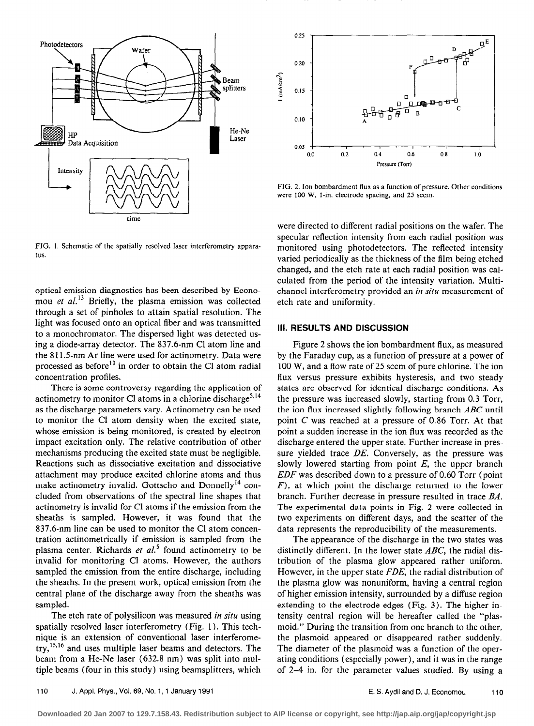

FIG. 1. Schematic of the spatially resolved laser interferometry apparatus.

optical emission diagnostics has been described by Economou et  $al$ <sup>13</sup> Briefly, the plasma emission was collected through a set of pinholes to attain spatial resolution. The light was focused onto an optical fiber and was transmitted to a monochromator. The dispersed light was detected using a diode-array detector. The 837.6-nm Cl atom line and the 811.5-nm Ar line were used for actinometry. Data were processed as before<sup>13</sup> in order to obtain the Cl atom radial concentration profiles.

There is some controversy regarding the application of actinometry to monitor Cl atoms in a chlorine discharge<sup>5,14</sup> as the discharge parameters vary. Actinometry can be used to monitor the Cl atom density when the excited state, whose emission is being monitored, is created by electron impact excitation only. The relative contribution of other mechanisms producing the excited state must be negligible. Reactions such as dissociative excitation and dissociative attachment may produce excited chlorine atoms and thus make actinometry invalid. Gottscho and Donnelly<sup>14</sup> concluded from observations of the spectral line shapes that actinometry is invalid for Cl atoms if the emission from the sheaths is sampled. However, it was found that the 837.6~nm line can be used to monitor the Cl atom concentration actinometrically if emission is sampled from the plasma center. Richards et  $al<sup>5</sup>$  found actinometry to be invalid for monitoring Cl atoms. However, the authors sampled the emission from the entire discharge, including the sheaths. In the present work, optical emission from the central plane of the discharge away from the sheaths was sampled.

The etch rate of polysilicon was measured in situ using spatially resolved laser interferometry (Fig. 1). This technique is an extension of conventional laser interferome $try, <sup>15,16</sup>$  and uses multiple laser beams and detectors. The beam from a He-Ne laser (632.8 nm) was split into multiple beams (four in this study) using beamsplitters, which



FIG. 2. Ion bombardment flux as a function of pressure. Other conditions were 100 W, 1-in. electrode spacing, and 25 sccm.

were directed to different radial positions on the wafer. The specular reflection intensity from each radial position was monitored using photodetectors. The reflected intensity varied periodically as the thickness of the film being etched changed, and the etch rate at each radial position was calculated from the period of the intensity variation. Multichannel interferometry provided an in situ measurement of etch rate and uniformity.

# Ill. RESULTS AND DISCUSSION

Figure 2 shows the ion bombardment flux, as measured by the Faraday cup, as a function of pressure at a power of 100 W, and a flow rate of 25 seem of pure chlorine. The ion flux versus pressure exhibits hysteresis, and two steady states are observed for identical discharge conditions. As the pressure was increased slowly, starting from 0.3 Torr, the ion flux increased slightly following branch  $ABC$  until point C was reached at a pressure of 0.86 Torr. At that point a sudden increase in the ion flux was recorded as the discharge entered the upper state. Further increase in pressure yielded trace DE. Conversely, as the pressure was slowly lowered starting from point  $E$ , the upper branch  $EDF$  was described down to a pressure of 0.60 Torr (point  $F$ ), at which point the discharge returned to the lower branch. Further decrease in pressure resulted in trace BA. The experimental data points in Fig. 2 were collected in two experiments on different days, and the scatter of the data represents the reproducibility of the measurements.

The appearance of the discharge in the two states was distinctly different. In the lower state  $ABC$ , the radial distribution of the plasma glow appeared rather uniform. However, in the upper state  $FDE$ , the radial distribution of the plasma glow was nonuniform, having a central region of higher emission intensity, surrounded by a diffuse region extending to the electrode edges (Fig. 3). The higher intensity central region will be hereafter called the "plasmoid." During the transition from one branch to the other, the plasmoid appeared or disappeared rather suddenly. The diameter of the plasmoid was a function of the operating conditions (especially power), and it was in the range of 2-4 in. for the parameter values studied. By using a

**Downloaded 20 Jan 2007 to 129.7.158.43. Redistribution subject to AIP license or copyright, see http://jap.aip.org/jap/copyright.jsp**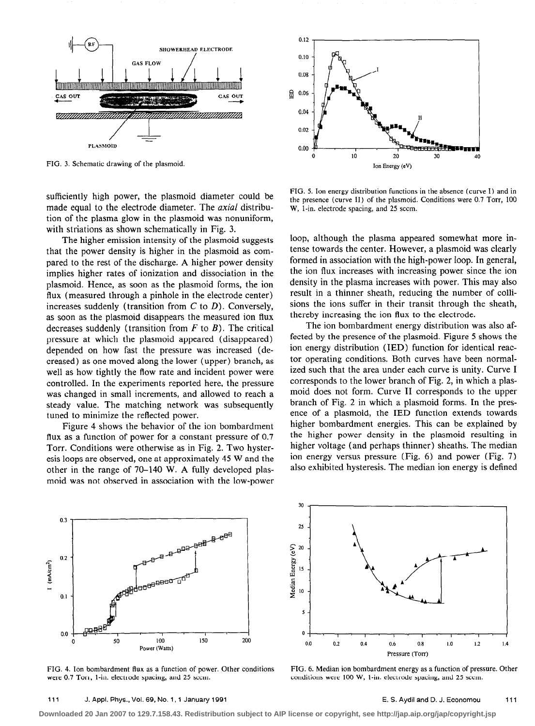

sufficiently high power, the plasmoid diameter could be made equal to the electrode diameter. The *axial* distribution of the plasma glow in the plasmoid was nonuniform, with striations as shown schematically in Fig. 3.

The higher emission intensity of the plasmoid suggests that the power density is higher in the plasmoid as compared to the rest of the discharge. A higher power density implies higher rates of ionization and dissociation in the plasmoid. Hence, as soon as the plasmoid forms, the ion flux (measured through a pinhole in the electrode center) increases suddenly (transition from  $C$  to  $D$ ). Conversely, as soon as the plasmoid disappears the measured ion flux decreases suddenly (transition from  $F$  to  $B$ ). The critical pressure at which the plasmoid appeared (disappeared) depended on how fast the pressure was increased (decreased) as one moved along the lower (upper) branch, as well as how tightly the flow rate and incident power were controlled. In the experiments reported here, the pressure was changed in small increments, and allowed to reach a steady value. The matching network was subsequently tuned to minimize the reflected power.

Figure 4 shows the behavior of the ion bombardment flux as a function of power for a constant pressure of 0.7 Torr. Conditions were otherwise as in Fig. 2. Two hysteresis loops are observed, one at approximately 45 W and the other in the range of 70-140 W. A fully developed plasmoid was not observed in association with the low-power



FIG. 5. Ion energy distribution functions in the absence (curve I) and in the presence (curve II) of the plasmoid. Conditions were 0.7 Torr, 100 W, 1-in. electrode spacing, and 25 secm.

loop, although the plasma appeared somewhat more intense towards the center. However, a plasmoid was clearly formed in association with the high-power loop. In general, the ion flux increases with increasing power since the ion density in the plasma increases with power. This may also result in a thinner sheath, reducing the number of collisions the ions suffer in their transit through the sheath, thereby increasing the ion flux to the electrode.

The ion bombardment energy distribution was also affected by the presence of the plasmoid. Figure 5 shows the ion energy distribution (IED) function for identical reactor operating conditions. Both curves have been normalized such that the area under each curve is unity. Curve I corresponds to the lower branch of Fig. 2, in which a plasmoid does not form. Curve II corresponds to the upper branch of Fig. 2 in which a plasmoid forms. In the presence of a plasmoid, the IED function extends towards higher bombardment energies. This can be explained by the higher power density in the plasmoid resulting in higher voltage (and perhaps thinner) sheaths. The median ion energy versus pressure (Fig. 6) and power (Fig. 7) also exhibited hysteresis. The median ion energy is defined



FIG. 4. Ion bombardment flux as a function of power. Other conditions FIG. 6. Median ion bombardment energy as a function of pressure. Other vere 0.7 Torr, 1-in. electrode spacing, and 25 sccm.<br>
conditions were 100 W, 1-in



conditions were 100 W, 1-in. electrode spacing, and 25 scem.

**Downloaded 20 Jan 2007 to 129.7.158.43. Redistribution subject to AIP license or copyright, see http://jap.aip.org/jap/copyright.jsp**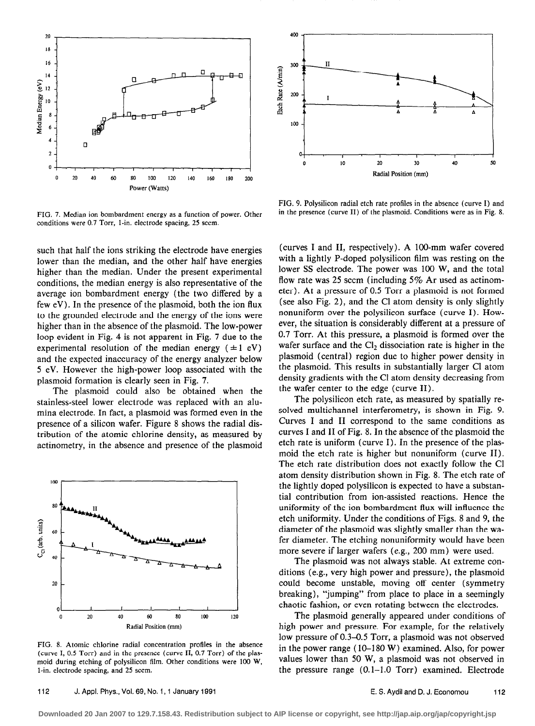

FIG. 7. Median ion bombardment energy as a function of power. Other conditions were 0.7 Torr, l-in. electrode spacing, 25 seem.

such that half the ions striking the electrode have energies lower than the median, and the other half have energies higher than the median. Under the present experimental conditions, the median energy is also representative of the average ion bombardment energy (the two differed by a few eV). In the presence of the plasmoid, both the ion flux to the grounded electrode and the energy of the ions were higher than in the absence of the plasmoid. The low-power loop evident in Fig. 4 is not apparent in Fig. 7 due to the experimental resolution of the median energy ( $\pm 1$  eV) and the expected inaccuracy of the energy analyzer below 5 eV. However the high-power loop associated with the plasmoid formation is clearly seen in Fig. 7.

The plasmoid could also be obtained when the stainless-steel lower electrode was replaced with an alumina electrode. In fact, a plasmoid was formed even in the presence of a silicon wafer. Figure 8 shows the radial distribution of the atomic chlorine density, as measured by actinometry, in the absence and presence of the plasmoid



FIG. 8. Atomic chlorine radial concentration profiles in the absence (curve I, 0.5 Torr) and in the presence (curve II, 0.7 Torr) of the plasmoid during etching of polysilicon film. Other conditions were 100 W , l-in. electrode spacing, and 25 seem.



FIG. 9. Polysilicon radial etch rate profiles in the absence (curve I) and in the presence (curve II) of the plasmoid. Conditions were as in Fig. 8.

(curves I and II, respectively). A lOO-mm wafer covered with a lightly P-doped polysilicon film was resting on the lower SS electrode. The power was 100 W, and the total flow rate was 25 sccm (including 5% Ar used as actinometer). At a pressure of 0.5 Torr a plasmoid is not formed (see also Fig. 2), and the Cl atom density is only slightly nonuniform over the polysilicon surface (curve I). However, the situation is considerably different at a pressure of 0.7 Torr. At this pressure, a plasmoid is formed over the wafer surface and the  $Cl<sub>2</sub>$  dissociation rate is higher in the plasmoid (central) region due to higher power density in the plasmoid. This results in substantially larger Cl atom density gradients with the Cl atom density decreasing from the wafer center to the edge (curve II).

The polysilicon etch rate, as measured by spatially resolved multichannel interferometry, is shown in Fig. 9. Curves I and II correspond to the same conditions as curves I and II of Fig. 8. In the absence of the plasmoid the etch rate is uniform (curve I). In the presence of the plasmoid the etch rate is higher but nonuniform (curve II). The etch rate distribution does not exactly follow the Cl atom density distribution shown in Fig. 8. The etch rate of the lightly doped polysilicon is expected to have a substantial contribution from ion-assisted reactions. Hence the uniformity of the ion bombardment flux will influence the etch uniformity. Under the conditions of Figs. 8 and 9, the diameter of the plasmoid was slightly smaller than the wafer diameter. The etching nonuniformity would have been more severe if larger wafers (e.g., 200 mm) were used.

The plasmoid was not always stable. At extreme conditions (e.g., very high power and pressure), the plasmoid could become unstable, moving off center (symmetry breaking), "jumping" from place to place in a seemingly chaotic fashion, or even rotating between the electrodes.

The plasmoid generally appeared under conditions of high power and pressure. For example, for the relatively low pressure of 0.3-0.5 Torr, a plasmoid was not observed in the power range (IO-180 W) examined. Also, for power values lower than 50 W, a plasmoid was not observed in the pressure range (0.1-1.0 Torr) examined. Electrode

**Downloaded 20 Jan 2007 to 129.7.158.43. Redistribution subject to AIP license or copyright, see http://jap.aip.org/jap/copyright.jsp**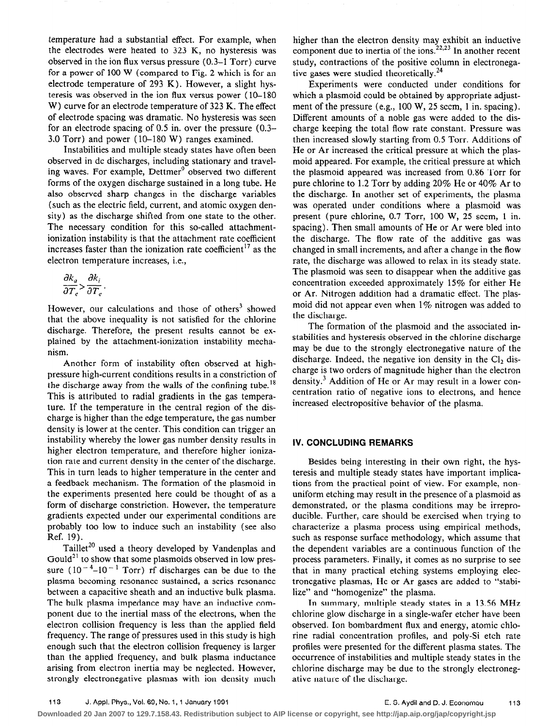temperature had a substantial effect. For example, when the electrodes were heated to 323 K, no hysteresis was observed in the ion flux versus pressure (0.3-l Torr) curve for a power of 100 W (compared to Fig. 2 which is for an electrode temperature of 293 K). However, a slight hysteresis was observed in the ion flux versus power (10-180 W) curve for an electrode temperature of 323 K. The effect of electrode spacing was dramatic. No hysteresis was seen for an electrode spacing of 0.5 in. over the pressure (0.3- 3.0 Torr) and power (10-180 W) ranges examined.

Instabilities and multiple steady states have often been observed in dc discharges, including stationary and traveling waves. For example, Dettmer' observed two different forms of the oxygen discharge sustained in a long tube. He also observed sharp changes in the discharge variables (such as the electric field, current, and atomic oxygen density) as the discharge shifted from one state to the other. The necessary condition for this so-called attachmentionization instability is that the attachment rate coefficient increases faster than the ionization rate coefficient<sup>17</sup> as the electron temperature increases, i.e.,

$$
\frac{\partial k_a}{\partial T_e} > \frac{\partial k_i}{\partial T_e}.
$$

However, our calculations and those of others<sup>3</sup> showed that the above inequality is not satisfied for the chlorine discharge. Therefore, the present results cannot be explained by the attachment-ionization instability mechanism.

Another form of instability often observed at highpressure high-current conditions results in a constriction of the discharge away from the walls of the confining tube.<sup>18</sup> This is attributed to radial gradients in the gas temperature. If the temperature in the central region of the discharge is higher than the edge temperature, the gas number density is lower at the center. This condition can trigger an instability whereby the lower gas number density results in higher electron temperature, and therefore higher ionization rate and current density in the center of the discharge. This in turn leads to higher temperature in the center and a feedback mechanism. The formation of the plasmoid in the experiments presented here could be thought of as a form of discharge constriction. However, the temperature gradients expected under our experimental conditions are probably too low to induce such an instability (see also Ref. 19).

Taillet<sup>20</sup> used a theory developed by Vandenplas and Gould<sup>21</sup> to show that some plasmoids observed in low pressure  $(10^{-4}-10^{-1}$  Torr) rf discharges can be due to the plasma becoming resonance sustained, a series resonance between a capacitive sheath and an inductive bulk plasma. The bulk plasma impedance may have an inductive component due to the inertial mass of the electrons, when the electron collision frequency is less than the applied field frequency. The range of pressures used in this study is high enough such that the electron collision frequency is larger than the applied frequency, and bulk plasma inductance arising from electron inertia may be neglected. However, strongly electronegative plasmas with ion density much

higher than the electron density may exhibit an inductive component due to inertia of the ions.<sup>22,23</sup> In another recent study, contractions of the positive column in electronegative gases were studied theoretically.<sup>24</sup>

Experiments were conducted under conditions for which a plasmoid could be obtained by appropriate adjustment of the pressure (e.g., 100 W, 25 sccm, 1 in. spacing). Different amounts of a noble gas were added to the discharge keeping the total flow rate constant. Pressure was then increased slowly starting from 0.5 Torr. Additions of He or Ar increased the critical pressure at which the plasmoid appeared. For example, the critical pressure at which the plasmoid appeared was increased from 0.86 Torr for pure chlorine to 1.2 Torr by adding 20% He or 40% Ar to the discharge. In another set of experiments, the plasma was operated under conditions where a plasmoid was present (pure chlorine, 0.7 Torr, 100 W, 25 sccm, 1 in. spacing). Then small amounts of He or Ar were bled into the discharge. The flow rate of the additive gas was changed in small increments, and after a change in the flow rate, the discharge was allowed to relax in its steady state. The plasmoid was seen to disappear when the additive gas concentration exceeded approximately 15% for either He or Ar. Nitrogen addition had a dramatic effect. The plasmoid did not appear even when  $1\%$  nitrogen was added to the discharge.

The formation of the plasmoid and the associated instabilities and hysteresis observed in the chlorine discharge may be due to the strongly electronegative nature of the discharge. Indeed, the negative ion density in the  $Cl<sub>2</sub>$  discharge is two orders of magnitude higher than the electron density.<sup>3</sup> Addition of He or Ar may result in a lower concentration ratio of negative ions to electrons, and hence increased electropositive behavior of the plasma.

# IV. CONCLUDING REMARKS

Besides being interesting in their own right, the hysteresis and multiple steady states have important implications from the practical point of view. For example, nonuniform etching may result in the presence of a plasmoid as demonstrated, or the plasma conditions may be irreproducible. Further, care should be exercised when trying to characterize a plasma process using empirical methods, such as response surface methodology, which assume that the dependent variables are a continuous function of the process parameters. Finally, it comes as no surprise to see that in many practical etching systems employing electronegative plasmas, He or Ar gases are added to "stabilize" and "homogenize" the plasma.

In summary, multiple steady states in a 13.56 MHz chlorine glow discharge in a single-wafer etcher have been observed. Ion bombardment flux and energy, atomic chlorine radial concentration profiles, and poly-Si etch rate profiles were presented for the different plasma states. The occurrence of instabilities and multiple steady states in the chlorine discharge may be due to the strongly electronegative nature of the discharge.

**Downloaded 20 Jan 2007 to 129.7.158.43. Redistribution subject to AIP license or copyright, see http://jap.aip.org/jap/copyright.jsp**